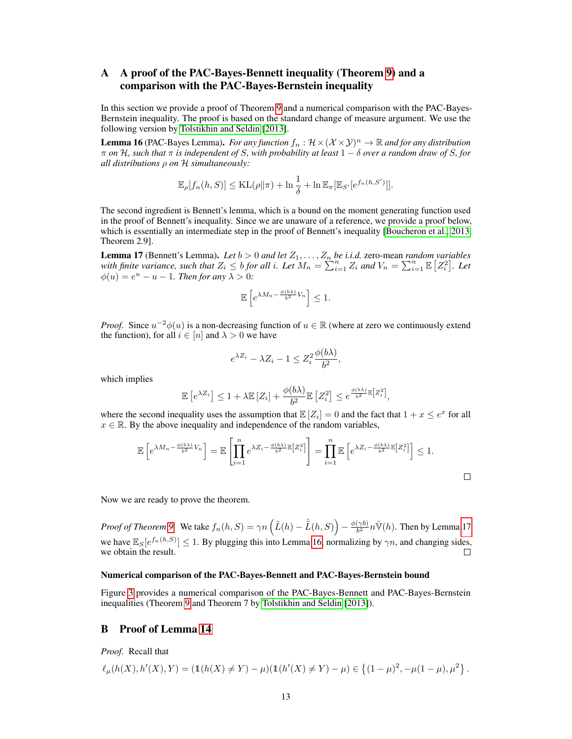# A A proof of the PAC-Bayes-Bennett inequality (Theorem [9\)](#page--1-0) and a comparison with the PAC-Bayes-Bernstein inequality

In this section we provide a proof of Theorem [9](#page--1-0) and a numerical comparison with the PAC-Bayes-Bernstein inequality. The proof is based on the standard change of measure argument. We use the following version by [Tolstikhin and Seldin](#page--1-1) [\[2013\]](#page--1-1).

<span id="page-0-1"></span>**Lemma 16** (PAC-Bayes Lemma). *For any function*  $f_n : \mathcal{H} \times (\mathcal{X} \times \mathcal{Y})^n \to \mathbb{R}$  *and for any distribution* π *on* H*, such that* π *is independent of* S*, with probability at least* 1 − δ *over a random draw of* S*, for all distributions* ρ *on* H *simultaneously:*

$$
\mathbb{E}_{\rho}[f_n(h, S)] \leq \mathrm{KL}(\rho \|\pi) + \ln \frac{1}{\delta} + \ln \mathbb{E}_{\pi}[\mathbb{E}_{S'}[e^{f_n(h, S')}]].
$$

The second ingredient is Bennett's lemma, which is a bound on the moment generating function used in the proof of Bennett's inequality. Since we are unaware of a reference, we provide a proof below, which is essentially an intermediate step in the proof of Bennett's inequality [\[Boucheron et al., 2013,](#page--1-2) Theorem 2.9].

<span id="page-0-0"></span>**Lemma 17** (Bennett's Lemma). Let  $b > 0$  and let  $Z_1, \ldots, Z_n$  be i.i.d. zero-mean *random variables with finite variance, such that*  $Z_i \leq b$  *for all i. Let*  $M_n = \sum_{i=1}^n Z_i$  *and*  $V_n = \sum_{i=1}^n \mathbb{E} [Z_i^2]$ *. Let*  $\phi(u) = e^u - u - 1$ . Then for any  $\lambda > 0$ :

$$
\mathbb{E}\left[e^{\lambda M_n - \frac{\phi(b\lambda)}{b^2}V_n}\right] \le 1.
$$

*Proof.* Since  $u^{-2}\phi(u)$  is a non-decreasing function of  $u \in \mathbb{R}$  (where at zero we continuously extend the function), for all  $i \in [n]$  and  $\lambda > 0$  we have

$$
e^{\lambda Z_i} - \lambda Z_i - 1 \le Z_i^2 \frac{\phi(b\lambda)}{b^2},
$$

which implies

$$
\mathbb{E}\left[e^{\lambda Z_i}\right] \leq 1 + \lambda \mathbb{E}\left[Z_i\right] + \frac{\phi(b\lambda)}{b^2}\mathbb{E}\left[Z_i^2\right] \leq e^{\frac{\phi(b\lambda)}{b^2}\mathbb{E}\left[Z_i^2\right]},
$$

where the second inequality uses the assumption that  $\mathbb{E}[Z_i] = 0$  and the fact that  $1 + x \le e^x$  for all  $x \in \mathbb{R}$ . By the above inequality and independence of the random variables,

$$
\mathbb{E}\left[e^{\lambda M_n - \frac{\phi(b\lambda)}{b^2}V_n}\right] = \mathbb{E}\left[\prod_{i=1}^n e^{\lambda Z_i - \frac{\phi(b\lambda)}{b^2}\mathbb{E}\left[Z_i^2\right]}\right] = \prod_{i=1}^n \mathbb{E}\left[e^{\lambda Z_i - \frac{\phi(b\lambda)}{b^2}\mathbb{E}\left[Z_i^2\right]}\right] \le 1.
$$

Now we are ready to prove the theorem.

*Proof of Theorem [9.](#page--1-0)* We take  $f_n(h, S) = \gamma n \left( \tilde{L}(h) - \hat{L}(h, S) \right) - \frac{\phi(\gamma b)}{b^2}$  $\frac{(\gamma b)}{b^2} n \tilde{\mathbb{V}}(h)$ . Then by Lemma [17](#page-0-0) we have  $\mathbb{E}_S[e^{f_n(h,S)}] \leq 1$ . By plugging this into Lemma [16,](#page-0-1) normalizing by  $\gamma n$ , and changing sides, we obtain the result.

#### Numerical comparison of the PAC-Bayes-Bennett and PAC-Bayes-Bernstein bound

Figure [3](#page-1-0) provides a numerical comparison of the PAC-Bayes-Bennett and PAC-Bayes-Bernstein inequalities (Theorem [9](#page--1-0) and Theorem 7 by [Tolstikhin and Seldin](#page--1-1) [\[2013\]](#page--1-1)).

### B Proof of Lemma [14](#page--1-3)

*Proof.* Recall that

$$
\ell_{\mu}(h(X),h'(X),Y)=(\mathbb{1}(h(X)\neq Y)-\mu)(\mathbb{1}(h'(X)\neq Y)-\mu) \in \left\{(1-\mu)^2,-\mu(1-\mu),\mu^2\right\}.
$$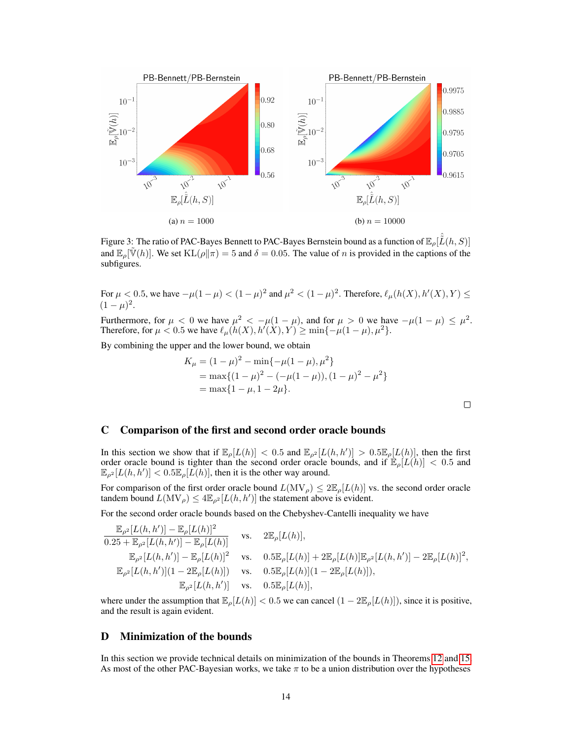<span id="page-1-0"></span>

Figure 3: The ratio of PAC-Bayes Bennett to PAC-Bayes Bernstein bound as a function of  $\mathbb{E}_{\rho}[\hat{\tilde{L}}(h,S)]$ and  $\mathbb{E}_{\rho}[\tilde{\mathbb{V}}(h)]$ . We set  $\text{KL}(\rho \| \pi) = 5$  and  $\delta = 0.05$ . The value of n is provided in the captions of the subfigures.

For  $\mu < 0.5$ , we have  $-\mu(1-\mu) < (1-\mu)^2$  and  $\mu^2 < (1-\mu)^2$ . Therefore,  $\ell_{\mu}(h(X), h'(X), Y) \le$  $(1 - \mu)^2$ .

Furthermore, for  $\mu < 0$  we have  $\mu^2 < -\mu(1-\mu)$ , and for  $\mu > 0$  we have  $-\mu(1-\mu) \le \mu^2$ . Therefore, for  $\mu < 0.5$  we have  $\ell_{\mu}(h(X), h'(X), Y) \ge \min\{-\mu(1-\mu), \mu^2\}.$ 

By combining the upper and the lower bound, we obtain

$$
K_{\mu} = (1 - \mu)^2 - \min\{-\mu(1 - \mu), \mu^2\}
$$
  
= max{ $(1 - \mu)^2 - (-\mu(1 - \mu)), (1 - \mu)^2 - \mu^2$ }  
= max{ $1 - \mu, 1 - 2\mu$ }.

 $\Box$ 

## C Comparison of the first and second order oracle bounds

In this section we show that if  $\mathbb{E}_{\rho}[L(h)] < 0.5$  and  $\mathbb{E}_{\rho^2}[L(h, h')] > 0.5\mathbb{E}_{\rho}[L(h)]$ , then the first order oracle bound is tighter than the second order oracle bounds, and if  $\mathbb{E}_{\rho}[L(h)] < 0.5$  and  $\mathbb{E}_{\rho^2}[L(h, h')] < 0.5 \mathbb{E}_{\rho}[L(h)]$ , then it is the other way around.

For comparison of the first order oracle bound  $L(MV_\rho) \leq 2\mathbb{E}_\rho[L(h)]$  vs. the second order oracle tandem bound  $L(MV_\rho) \leq 4\mathbb{E}_{\rho^2}[L(h, h')]$  the statement above is evident.

For the second order oracle bounds based on the Chebyshev-Cantelli inequality we have

$$
\frac{\mathbb{E}_{\rho^2}[L(h, h')] - \mathbb{E}_{\rho}[L(h)]^2}{0.25 + \mathbb{E}_{\rho^2}[L(h, h')] - \mathbb{E}_{\rho}[L(h)]} \quad \text{vs.} \quad 2\mathbb{E}_{\rho}[L(h)],
$$
\n
$$
\frac{\mathbb{E}_{\rho^2}[L(h, h')] - \mathbb{E}_{\rho}[L(h)]^2}{\mathbb{E}_{\rho^2}[L(h, h')] - \mathbb{E}_{\rho}[L(h)]^2} \quad \text{vs.} \quad 0.5\mathbb{E}_{\rho}[L(h)] + 2\mathbb{E}_{\rho}[L(h)]\mathbb{E}_{\rho^2}[L(h, h')] - 2\mathbb{E}_{\rho}[L(h)]^2,
$$
\n
$$
\mathbb{E}_{\rho^2}[L(h, h')](1 - 2\mathbb{E}_{\rho}[L(h)]) \quad \text{vs.} \quad 0.5\mathbb{E}_{\rho}[L(h)] (1 - 2\mathbb{E}_{\rho}[L(h)]),
$$
\n
$$
\mathbb{E}_{\rho^2}[L(h, h')] \quad \text{vs.} \quad 0.5\mathbb{E}_{\rho}[L(h)],
$$

where under the assumption that  $\mathbb{E}_{\rho}[L(h)] < 0.5$  we can cancel  $(1 - 2\mathbb{E}_{\rho}[L(h)])$ , since it is positive, and the result is again evident.

## D Minimization of the bounds

In this section we provide technical details on minimization of the bounds in Theorems [12](#page--1-4) and [15.](#page--1-5) As most of the other PAC-Bayesian works, we take  $\pi$  to be a union distribution over the hypotheses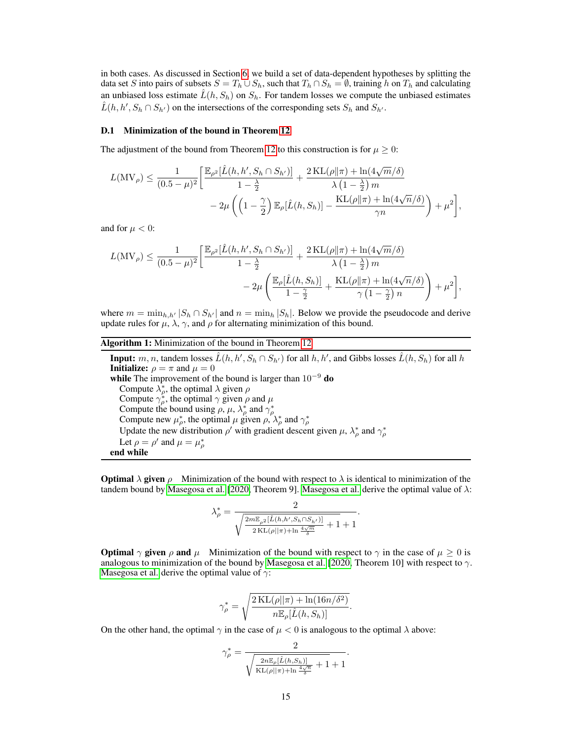in both cases. As discussed in Section [6,](#page--1-6) we build a set of data-dependent hypotheses by splitting the data set S into pairs of subsets  $S = T_h \cup S_h$ , such that  $T_h \cap S_h = \emptyset$ , training h on  $T_h$  and calculating an unbiased loss estimate  $L(h, S_h)$  on  $S_h$ . For tandem losses we compute the unbiased estimates  $\hat{L}(h, h', S_h \cap S_{h'})$  on the intersections of the corresponding sets  $S_h$  and  $S_{h'}$ .

#### <span id="page-2-0"></span>D.1 Minimization of the bound in Theorem [12](#page--1-4)

The adjustment of the bound from Theorem [12](#page--1-4) to this construction is for  $\mu \geq 0$ :

$$
L(MV_{\rho}) \leq \frac{1}{(0.5 - \mu)^2} \left[ \frac{\mathbb{E}_{\rho^2} [\hat{L}(h, h', S_h \cap S_{h'})]}{1 - \frac{\lambda}{2}} + \frac{2 \mathrm{KL}(\rho || \pi) + \ln(4\sqrt{m}/\delta)}{\lambda \left(1 - \frac{\lambda}{2}\right) m} - 2\mu \left( \left(1 - \frac{\gamma}{2}\right) \mathbb{E}_{\rho} [\hat{L}(h, S_h)] - \frac{\mathrm{KL}(\rho || \pi) + \ln(4\sqrt{n}/\delta)}{\gamma n} \right) + \mu^2 \right],
$$

and for  $\mu < 0$ :

$$
L(MV_{\rho}) \leq \frac{1}{(0.5 - \mu)^2} \left[ \frac{\mathbb{E}_{\rho^2} [\hat{L}(h, h', S_h \cap S_{h'})]}{1 - \frac{\lambda}{2}} + \frac{2 \text{KL}(\rho || \pi) + \ln(4\sqrt{m}/\delta)}{\lambda \left(1 - \frac{\lambda}{2}\right) m} - 2\mu \left( \frac{\mathbb{E}_{\rho} [\hat{L}(h, S_h)]}{1 - \frac{\gamma}{2}} + \frac{\text{KL}(\rho || \pi) + \ln(4\sqrt{n}/\delta)}{\gamma \left(1 - \frac{\gamma}{2}\right) n} \right) + \mu^2 \right],
$$

where  $m = \min_{h,h'} |S_h \cap S_{h'}|$  and  $n = \min_h |S_h|$ . Below we provide the pseudocode and derive update rules for  $\mu$ ,  $\lambda$ ,  $\gamma$ , and  $\rho$  for alternating minimization of this bound.

## Algorithm 1: Minimization of the bound in Theorem [12](#page--1-4)

**Input:**  $m, n$ , tandem losses  $\hat{L}(h, h', S_h \cap S_{h'})$  for all  $h, h'$ , and Gibbs losses  $\hat{L}(h, S_h)$  for all  $h$ **Initialize:**  $\rho = \pi$  and  $\mu = 0$ while The improvement of the bound is larger than  $10^{-9}$  do Compute  $\lambda_p^*$ , the optimal  $\lambda$  given  $\rho$ Compute  $\gamma_{\rho}^*$ , the optimal  $\gamma$  given  $\rho$  and  $\mu$ Compute the bound using  $\rho$ ,  $\mu$ ,  $\lambda_{\rho}^{*}$  and  $\gamma_{\rho}^{*}$ <br>Compute new  $\mu_{\rho}^{*}$ , the optimal  $\mu$  given  $\rho$ ,  $\lambda_{\rho}^{*}$  and  $\gamma_{\rho}^{*}$ Update the new distribution  $\rho'$  with gradient descent given  $\mu$ ,  $\lambda_{\rho}^*$  and  $\gamma_{\rho}^*$ Let  $\rho = \rho'$  and  $\mu = \mu_{\rho}^*$ end while

**Optimal**  $\lambda$  given  $\rho$  Minimization of the bound with respect to  $\lambda$  is identical to minimization of the tandem bound by [Masegosa et al.](#page--1-7) [\[2020,](#page--1-7) Theorem 9]. Masegosa et al. derive the optimal value of  $\lambda$ :

$$
\lambda_\rho^*=\frac{2}{\sqrt{\frac{2m\mathbb{E}_{\rho^2}[\hat{L}(h,h',S_h\cap S_h\prime)]}{2\text{KL}(\rho||\pi)+\ln\frac{4\sqrt{m}}{\delta}}}+1+1}.
$$

**Optimal**  $\gamma$  given  $\rho$  and  $\mu$  Minimization of the bound with respect to  $\gamma$  in the case of  $\mu \ge 0$  is analogous to minimization of the bound by [Masegosa et al.](#page--1-7) [\[2020,](#page--1-7) Theorem 10] with respect to  $\gamma$ . [Masegosa et al.](#page--1-7) derive the optimal value of  $\gamma$ :

$$
\gamma_{\rho}^* = \sqrt{\frac{2 \text{ KL}(\rho || \pi) + \ln(16n/\delta^2)}{n \mathbb{E}_{\rho}[\hat{L}(h, S_h)]}}.
$$

On the other hand, the optimal  $\gamma$  in the case of  $\mu < 0$  is analogous to the optimal  $\lambda$  above:

$$
\gamma_{\rho}^* = \frac{2}{\sqrt{\frac{2n\mathbb{E}_{\rho}[\hat{L}(h, S_h)]}{\text{KL}(\rho||\pi) + \ln\frac{4\sqrt{n}}{\delta}} + 1} + 1}.
$$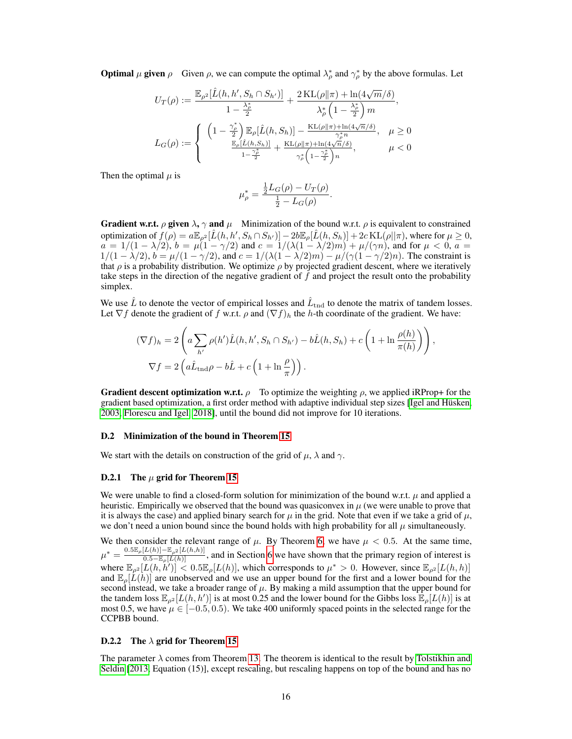**Optimal**  $\mu$  given  $\rho$  Given  $\rho$ , we can compute the optimal  $\lambda_{\rho}^{*}$  and  $\gamma_{\rho}^{*}$  by the above formulas. Let

$$
U_T(\rho) := \frac{\mathbb{E}_{\rho^2}[\hat{L}(h, h', S_h \cap S_{h'})]}{1 - \frac{\lambda_p^*}{2}} + \frac{2 \operatorname{KL}(\rho || \pi) + \ln(4\sqrt{m}/\delta)}{\lambda_\rho^* \left(1 - \frac{\lambda_\rho^*}{2}\right) m},
$$
  

$$
L_G(\rho) := \begin{cases} \left(1 - \frac{\gamma_\rho^*}{2}\right) \mathbb{E}_{\rho}[\hat{L}(h, S_h)] - \frac{\operatorname{KL}(\rho || \pi) + \ln(4\sqrt{n}/\delta)}{\gamma_\rho^* n}, & \mu \ge 0 \\ \frac{\mathbb{E}_{\rho}[\hat{L}(h, S_h)]}{1 - \frac{\gamma_\rho^*}{2}} + \frac{\operatorname{KL}(\rho || \pi) + \ln(4\sqrt{n}/\delta)}{\gamma_\rho^* \left(1 - \frac{\gamma_\rho^*}{2}\right) n}, & \mu < 0 \end{cases}
$$

Then the optimal  $\mu$  is

$$
\mu_{\rho}^* = \frac{\frac{1}{2}L_G(\rho) - U_T(\rho)}{\frac{1}{2} - L_G(\rho)}.
$$

**Gradient w.r.t.**  $\rho$  given  $\lambda$ ,  $\gamma$  and  $\mu$  Minimization of the bound w.r.t.  $\rho$  is equivalent to constrained optimization of  $f(\rho) = a \mathbb{E}_{\rho^2} [\hat{L}(h, h', S_h \cap S_{h'})] - 2b \mathbb{E}_{\rho} [\hat{L}(h, S_h)] + 2c \text{KL}(\rho || \pi)$ , where for  $\mu \ge 0$ ,  $a = 1/(1 - \lambda/2)$ ,  $b = \mu(1 - \gamma/2)$  and  $c = 1/(\lambda(1 - \lambda/2)m) + \mu/(\gamma n)$ , and for  $\mu < 0$ ,  $a =$  $1/(1 - \lambda/2)$ ,  $b = \mu/(1 - \gamma/2)$ , and  $c = 1/(\lambda(1 - \lambda/2)m) - \mu/(\gamma(1 - \gamma/2)n)$ . The constraint is that  $\rho$  is a probability distribution. We optimize  $\rho$  by projected gradient descent, where we iteratively take steps in the direction of the negative gradient of  $f$  and project the result onto the probability simplex.

We use  $\hat{L}$  to denote the vector of empirical losses and  $\hat{L}_{\text{tnd}}$  to denote the matrix of tandem losses. Let  $\nabla f$  denote the gradient of f w.r.t.  $\rho$  and  $(\nabla f)_h$  the h-th coordinate of the gradient. We have:

$$
(\nabla f)_h = 2\left(a\sum_{h'} \rho(h')\hat{L}(h, h', S_h \cap S_{h'}) - b\hat{L}(h, S_h) + c\left(1 + \ln\frac{\rho(h)}{\pi(h)}\right)\right),
$$
  

$$
\nabla f = 2\left(a\hat{L}_{\text{tnd}}\rho - b\hat{L} + c\left(1 + \ln\frac{\rho}{\pi}\right)\right).
$$

**Gradient descent optimization w.r.t.**  $\rho$  To optimize the weighting  $\rho$ , we applied iRProp+ for the gradient based optimization, a first order method with adaptive individual step sizes [\[Igel and Hüsken,](#page--1-8) [2003,](#page--1-8) [Florescu and Igel, 2018\]](#page--1-9), until the bound did not improve for 10 iterations.

#### D.2 Minimization of the bound in Theorem [15](#page--1-5)

We start with the details on construction of the grid of  $\mu$ ,  $\lambda$  and  $\gamma$ .

#### D.2.1 The  $\mu$  grid for Theorem [15](#page--1-5)

We were unable to find a closed-form solution for minimization of the bound w.r.t.  $\mu$  and applied a heuristic. Empirically we observed that the bound was quasiconvex in  $\mu$  (we were unable to prove that it is always the case) and applied binary search for  $\mu$  in the grid. Note that even if we take a grid of  $\mu$ , we don't need a union bound since the bound holds with high probability for all  $\mu$  simultaneously.

We then consider the relevant range of  $\mu$ . By Theorem [6,](#page--1-10) we have  $\mu < 0.5$ . At the same time,  $\mu^* = \frac{0.5\mathbb{E}_{\rho}[L(h)] - \mathbb{E}_{\rho^2}[L(h,h)]}{0.5 - \mathbb{E}_{\rho}[L(h)]}$ , and in Section [6](#page--1-6) we have shown that the primary region of interest is where  $\mathbb{E}_{\rho^2}[L(h, \tilde{h}')] \leq 0.5 \mathbb{E}_{\rho}[L(h)]$ , which corresponds to  $\mu^* > 0$ . However, since  $\mathbb{E}_{\rho^2}[L(h, h)]$ and  $\mathbb{E}_{\rho}[L(h)]$  are unobserved and we use an upper bound for the first and a lower bound for the second instead, we take a broader range of  $\mu$ . By making a mild assumption that the upper bound for the tandem loss  $\mathbb{E}_{\rho^2}[L(h, h')]$  is at most 0.25 and the lower bound for the Gibbs loss  $\mathbb{E}_{\rho}[L(h)]$  is at most 0.5, we have  $\mu \in [-0.5, 0.5)$ . We take 400 uniformly spaced points in the selected range for the CCPBB bound.

## D.2.2 The  $\lambda$  grid for Theorem [15](#page--1-5)

The parameter  $\lambda$  comes from Theorem [13.](#page--1-11) The theorem is identical to the result by [Tolstikhin and](#page--1-1) [Seldin](#page--1-1) [\[2013,](#page--1-1) Equation (15)], except rescaling, but rescaling happens on top of the bound and has no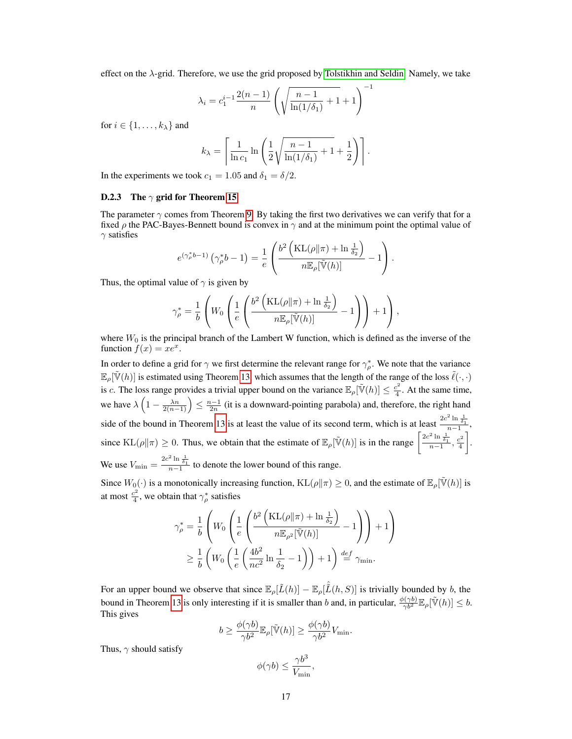effect on the  $\lambda$ -grid. Therefore, we use the grid proposed by [Tolstikhin and Seldin.](#page--1-1) Namely, we take

$$
\lambda_i = c_1^{i-1} \frac{2(n-1)}{n} \left( \sqrt{\frac{n-1}{\ln(1/\delta_1)} + 1} + 1 \right)^{-1}
$$

for  $i \in \{1, \ldots, k_{\lambda}\}\$  and

$$
k_{\lambda} = \left[ \frac{1}{\ln c_1} \ln \left( \frac{1}{2} \sqrt{\frac{n-1}{\ln(1/\delta_1)} + 1} + \frac{1}{2} \right) \right].
$$

In the experiments we took  $c_1 = 1.05$  and  $\delta_1 = \delta/2$ .

#### D.2.3 The  $\gamma$  grid for Theorem [15](#page--1-5)

The parameter  $\gamma$  comes from Theorem [9.](#page--1-0) By taking the first two derivatives we can verify that for a fixed  $\rho$  the PAC-Bayes-Bennett bound is convex in  $\gamma$  and at the minimum point the optimal value of  $\gamma$  satisfies

$$
e^{(\gamma_{\rho}^{*}b-1)}(\gamma_{\rho}^{*}b-1)=\frac{1}{e}\left(\frac{b^{2}\left(\text{KL}(\rho\|\pi)+\ln\frac{1}{\delta_{2}}\right)}{n\mathbb{E}_{\rho}[\tilde{\mathbb{V}}(h)]}-1\right).
$$

Thus, the optimal value of  $\gamma$  is given by

$$
\gamma_\rho^* = \frac{1}{b}\left(W_0\left(\frac{1}{e}\left(\frac{b^2\left(\textrm{KL}(\rho\|\pi) + \ln\frac{1}{\delta_2}\right)}{n\mathbb{E}_\rho[\tilde{\mathbb{V}}(h)]} - 1\right)\right) + 1\right),\,
$$

where  $W_0$  is the principal branch of the Lambert W function, which is defined as the inverse of the function  $f(x) = xe^x$ .

In order to define a grid for  $\gamma$  we first determine the relevant range for  $\gamma_{\rho}^*$ . We note that the variance  $\mathbb{E}_{\rho}[\tilde{\mathbb{V}}(h)]$  is estimated using Theorem [13,](#page--1-11) which assumes that the length of the range of the loss  $\tilde{\ell}(\cdot, \cdot)$ is c. The loss range provides a trivial upper bound on the variance  $\mathbb{E}_{\rho}[\tilde{V}(h)] \leq \frac{c^2}{4}$  $\frac{e^2}{4}$ . At the same time, we have  $\lambda\left(1-\frac{\lambda n}{2(n-1)}\right) \leq \frac{n-1}{2n}$  (it is a downward-pointing parabola) and, therefore, the right hand side of the bound in Theorem [13](#page--1-11) is at least the value of its second term, which is at least  $\frac{2c^2 \ln \frac{1}{\delta_1}}{n-1}$ , since  $KL(\rho || \pi) \ge 0$ . Thus, we obtain that the estimate of  $\mathbb{E}_{\rho}[\tilde{V}(h)]$  is in the range  $\left[\frac{2c^2 \ln \frac{1}{\delta_1}}{n-1}, \frac{c^2}{4}\right]$ 4 . We use  $V_{\text{min}} = \frac{2c^2 \ln \frac{1}{\delta_1}}{n-1}$  to denote the lower bound of this range.

Since  $W_0(\cdot)$  is a monotonically increasing function,  $KL(\rho||\pi) \geq 0$ , and the estimate of  $\mathbb{E}_{\rho}[\tilde{V}(h)]$  is at most  $\frac{c^2}{4}$  $\frac{e^2}{4}$ , we obtain that  $\gamma_{\rho}^*$  satisfies

$$
\gamma_{\rho}^{*} = \frac{1}{b} \left( W_0 \left( \frac{1}{e} \left( \frac{b^2 \left( \text{KL}(\rho || \pi) + \ln \frac{1}{\delta_2} \right)}{n \mathbb{E}_{\rho^2}[\tilde{\mathbb{V}}(h)]} - 1 \right) \right) + 1 \right) \n\geq \frac{1}{b} \left( W_0 \left( \frac{1}{e} \left( \frac{4b^2}{nc^2} \ln \frac{1}{\delta_2} - 1 \right) \right) + 1 \right) \stackrel{def}{=} \gamma_{\min}.
$$

For an upper bound we observe that since  $\mathbb{E}_{\rho}[\tilde{L}(h)] - \mathbb{E}_{\rho}[\tilde{L}(h, S)]$  is trivially bounded by b, the bound in Theorem [13](#page--1-11) is only interesting if it is smaller than b and, in particular,  $\frac{\phi(\gamma b)}{\gamma b^2} \mathbb{E}_{\rho}[\tilde{V}(h)] \leq b$ . This gives

$$
b \geq \frac{\phi(\gamma b)}{\gamma b^2} \mathbb{E}_{\rho}[\tilde{\mathbb{V}}(h)] \geq \frac{\phi(\gamma b)}{\gamma b^2} V_{\min}.
$$

Thus,  $\gamma$  should satisfy

$$
\phi(\gamma b) \le \frac{\gamma b^3}{V_{\min}},
$$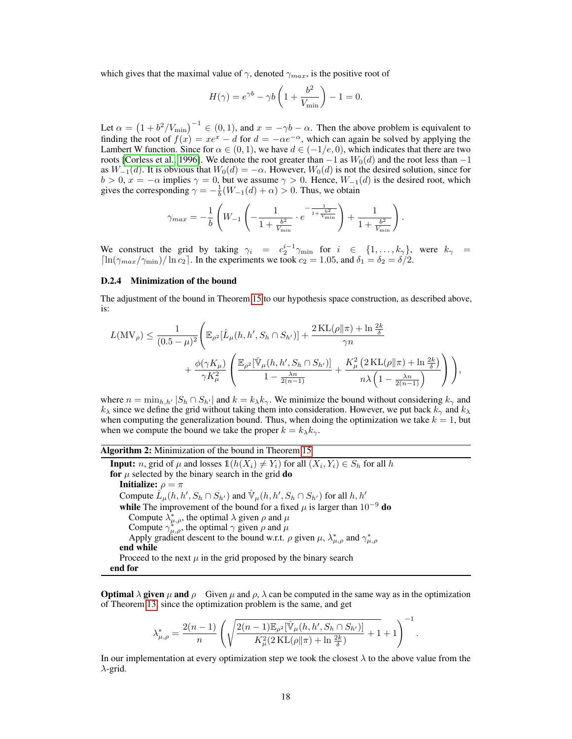which gives that the maximal value of  $\gamma$ , denoted  $\gamma_{max}$ , is the positive root of

$$
H(\gamma) = e^{\gamma b} - \gamma b \left( 1 + \frac{b^2}{V_{\text{min}}} \right) - 1 = 0.
$$

Let  $\alpha = (1 + b^2/V_{\text{min}})^{-1} \in (0, 1)$ , and  $x = -\gamma b - \alpha$ . Then the above problem is equivalent to finding the root of  $f(x) = xe^x - d$  for  $d = -\alpha e^{-\alpha}$ , which can again be solved by applying the Lambert W function. Since for  $\alpha \in (0,1)$ , we have  $d \in (-1/e,0)$ , which indicates that there are two roots [\[Corless et al., 1996\]](#page--1-12). We denote the root greater than  $-1$  as  $W_0(d)$  and the root less than  $-1$ as  $W_{-1}(d)$ . It is obvious that  $W_0(d) = -\alpha$ . However,  $W_0(d)$  is not the desired solution, since for  $b > 0$ ,  $x = -\alpha$  implies  $\gamma = 0$ , but we assume  $\gamma > 0$ . Hence,  $W_{-1}(d)$  is the desired root, which gives the corresponding  $\gamma = -\frac{1}{b}(W_{-1}(d) + \alpha) > 0$ . Thus, we obtain

$$
\gamma_{max} = -\frac{1}{b} \left( W_{-1} \left( -\frac{1}{1 + \frac{b^2}{V_{\min}}} \cdot e^{-\frac{1}{1 + \frac{b^2}{V_{\min}}}} \right) + \frac{1}{1 + \frac{b^2}{V_{\min}}} \right).
$$

We construct the grid by taking  $\gamma_i = c_2^{i-1} \gamma_{\min}$  for  $i \in \{1, ..., k_{\gamma}\}\$ , were  $k_{\gamma} =$  $\left[\ln(\gamma_{max}/\gamma_{\min})/\ln c_2\right]$ . In the experiments we took  $c_2 = 1.05$ , and  $\delta_1 = \delta_2 = \delta/2$ .

#### D.2.4 Minimization of the bound

The adjustment of the bound in Theorem [15](#page--1-5) to our hypothesis space construction, as described above, is:

$$
\begin{aligned} L(\mathrm{MV}_\rho) &\leq \frac{1}{(0.5-\mu)^2}\Bigg( \mathbb{E}_{\rho^2}[\hat{L}_\mu(h,h',S_h\cap S_{h'})] + \frac{2\,\mathrm{KL}(\rho\|\pi) + \ln\frac{2k}{\delta}}{\gamma n} \\ &\quad + \frac{\phi(\gamma K_\mu)}{\gamma K_\mu^2}\left(\frac{\mathbb{E}_{\rho^2}[\hat{\mathbb{V}}_\mu(h,h',S_h\cap S_{h'})]}{1-\frac{\lambda n}{2(n-1)}} + \frac{K_\mu^2\left(2\,\mathrm{KL}(\rho\|\pi) + \ln\frac{2k}{\delta}\right)}{n\lambda\left(1-\frac{\lambda n}{2(n-1)}\right)}\right)\Bigg), \end{aligned}
$$

where  $n = \min_{h,h'} |S_h \cap S_{h'}|$  and  $k = k_{\lambda}k_{\gamma}$ . We minimize the bound without considering  $k_{\gamma}$  and  $k_{\lambda}$  since we define the grid without taking them into consideration. However, we put back  $k_{\gamma}$  and  $k_{\lambda}$ when computing the generalization bound. Thus, when doing the optimization we take  $k = 1$ , but when we compute the bound we take the proper  $k = k_{\lambda} k_{\gamma}$ .

#### Algorithm 2: Minimization of the bound in Theorem [15](#page--1-5)

**Input:** *n*, grid of  $\mu$  and losses  $\mathbb{1}(h(X_i) \neq Y_i)$  for all  $(X_i, Y_i) \in S_h$  for all  $h$ for  $\mu$  selected by the binary search in the grid do Initialize:  $\rho = \pi$ Compute  $\hat{L}_{\mu}(h, h', S_h \cap S_{h'})$  and  $\hat{\mathbb{V}}_{\mu}(h, h', S_h \cap S_{h'})$  for all  $h, h'$ while The improvement of the bound for a fixed  $\mu$  is larger than 10<sup>-9</sup> do Compute  $\lambda^*_{\mu,\rho}$ , the optimal  $\lambda$  given  $\rho$  and  $\mu$ Compute  $\gamma_{\mu,\rho}^*$ , the optimal  $\gamma$  given  $\rho$  and  $\mu$ Apply gradient descent to the bound w.r.t.  $\rho$  given  $\mu$ ,  $\lambda^*_{\mu,\rho}$  and  $\gamma^*_{\mu,\rho}$ end while Proceed to the next  $\mu$  in the grid proposed by the binary search end for

**Optimal**  $\lambda$  given  $\mu$  and  $\rho$  Given  $\mu$  and  $\rho$ ,  $\lambda$  can be computed in the same way as in the optimization of Theorem [13,](#page--1-11) since the optimization problem is the same, and get

$$
\lambda_{\mu,\rho}^* = \frac{2(n-1)}{n} \left( \sqrt{\frac{2(n-1)\mathbb{E}_{\rho^2}[\hat{\mathbb{V}}_{\mu}(h,h',S_h \cap S_{h'})]}{K_{\mu}^2(2\operatorname{KL}(\rho \|\pi) + \ln \frac{2k}{\delta})}} + 1 + 1 \right)^{-1}
$$

.

In our implementation at every optimization step we took the closest  $\lambda$  to the above value from the  $\lambda$ -grid.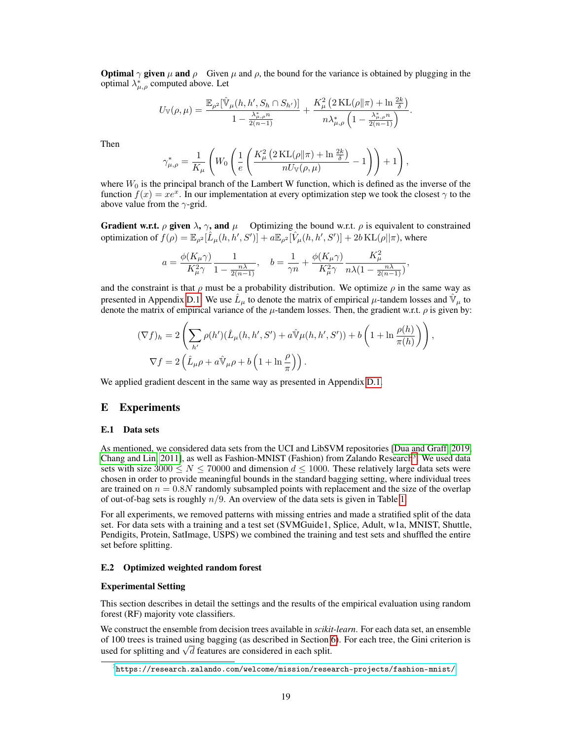**Optimal**  $\gamma$  given  $\mu$  and  $\rho$  Given  $\mu$  and  $\rho$ , the bound for the variance is obtained by plugging in the optimal  $\lambda^*_{\mu,\rho}$  computed above. Let

$$
U_{\mathbb{V}}(\rho,\mu)=\frac{\mathbb{E}_{\rho^2}[\hat{\mathbb{V}}_{\mu}(h,h',S_h\cap S_{h'})]}{1-\frac{\lambda_{\mu,\rho}^n}{2(n-1)}}+\frac{K_{\mu}^2(2\operatorname{KL}(\rho\|\pi)+\ln\frac{2k}{\delta})}{n\lambda_{\mu,\rho}^*\left(1-\frac{\lambda_{\mu,\rho}^n n}{2(n-1)}\right)}.
$$

Then

$$
\gamma_{\mu,\rho}^* = \frac{1}{K_{\mu}} \left( W_0 \left( \frac{1}{e} \left( \frac{K_{\mu}^2 \left( 2 \operatorname{KL}(\rho || \pi) + \ln \frac{2k}{\delta} \right)}{n U_{\mathbb{V}}(\rho, \mu)} - 1 \right) \right) + 1 \right),
$$

where  $W_0$  is the principal branch of the Lambert W function, which is defined as the inverse of the function  $f(x) = xe^x$ . In our implementation at every optimization step we took the closest  $\gamma$  to the above value from the  $\gamma$ -grid.

**Gradient w.r.t.**  $\rho$  given  $\lambda$ ,  $\gamma$ , and  $\mu$  Optimizing the bound w.r.t.  $\rho$  is equivalent to constrained optimization of  $f(\rho) = \mathbb{E}_{\rho^2}[\hat{L}_{\mu}(h, h', S')] + a \mathbb{E}_{\rho^2}[\hat{V}_{\mu}(h, h', S')] + 2b \text{KL}(\rho || \pi)$ , where

$$
a=\frac{\phi(K_\mu\gamma)}{K_\mu^2\gamma}\frac{1}{1-\frac{n\lambda}{2(n-1)}},\quad b=\frac{1}{\gamma n}+\frac{\phi(K_\mu\gamma)}{K_\mu^2\gamma}\frac{K_\mu^2}{n\lambda(1-\frac{n\lambda}{2(n-1)})},
$$

and the constraint is that  $\rho$  must be a probability distribution. We optimize  $\rho$  in the same way as presented in Appendix [D.1.](#page-2-0) We use  $\hat{L}_{\mu}$  to denote the matrix of empirical  $\mu$ -tandem losses and  $\hat{V}_{\mu}$  to denote the matrix of empirical variance of the  $\mu$ -tandem losses. Then, the gradient w.r.t.  $\rho$  is given by:

$$
(\nabla f)_h = 2\left(\sum_{h'} \rho(h')(\hat{L}_{\mu}(h, h', S') + a\hat{\mathbb{V}}\mu(h, h', S')) + b\left(1 + \ln \frac{\rho(h)}{\pi(h)}\right)\right),
$$
  

$$
\nabla f = 2\left(\hat{L}_{\mu}\rho + a\hat{\mathbb{V}}_{\mu}\rho + b\left(1 + \ln \frac{\rho}{\pi}\right)\right).
$$

We applied gradient descent in the same way as presented in Appendix [D.1.](#page-2-0)

## E Experiments

### E.1 Data sets

As mentioned, we considered data sets from the UCI and LibSVM repositories [\[Dua and Graff, 2019,](#page--1-13) [Chang and Lin, 2011\]](#page--1-14), as well as Fashion-MNIST (Fashion) from Zalando Research<sup>[3](#page-6-0)</sup>. We used data sets with size 3000  $\leq N \leq 70000$  and dimension  $d \leq 1000$ . These relatively large data sets were chosen in order to provide meaningful bounds in the standard bagging setting, where individual trees are trained on  $n = 0.8N$  randomly subsampled points with replacement and the size of the overlap of out-of-bag sets is roughly  $n/9$ . An overview of the data sets is given in Table [1.](#page-7-0)

For all experiments, we removed patterns with missing entries and made a stratified split of the data set. For data sets with a training and a test set (SVMGuide1, Splice, Adult, w1a, MNIST, Shuttle, Pendigits, Protein, SatImage, USPS) we combined the training and test sets and shuffled the entire set before splitting.

### E.2 Optimized weighted random forest

#### Experimental Setting

This section describes in detail the settings and the results of the empirical evaluation using random forest (RF) majority vote classifiers.

We construct the ensemble from decision trees available in *scikit-learn*. For each data set, an ensemble of 100 trees is trained using bagging (as described in Section [6\)](#page--1-6). For each tree, the Gini criterion is used for splitting and  $\sqrt{d}$  features are considered in each split.

<span id="page-6-0"></span> $^3$ <https://research.zalando.com/welcome/mission/research-projects/fashion-mnist/>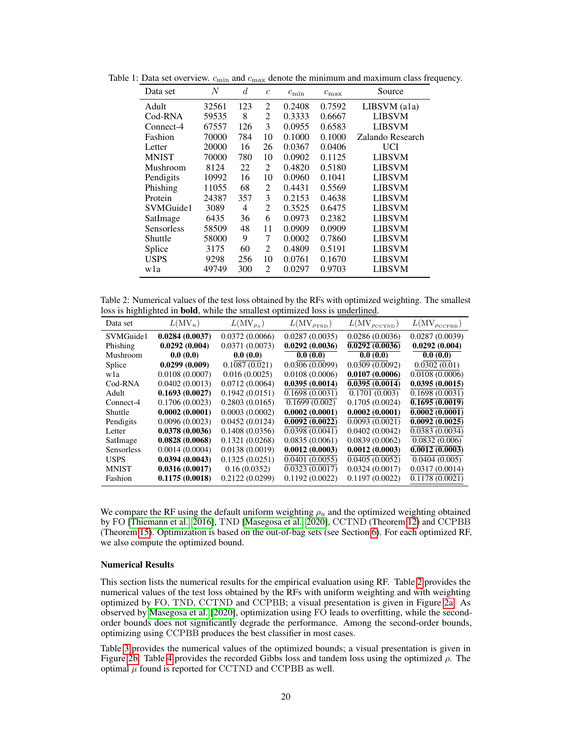| Data set     | N     | d.  | $\overline{c}$ | $c_{\min}$ | $c_{\max}$ | Source           |
|--------------|-------|-----|----------------|------------|------------|------------------|
| Adult        | 32561 | 123 | 2              | 0.2408     | 0.7592     | $LIBSVM$ (ala)   |
| Cod-RNA      | 59535 | 8   | 2              | 0.3333     | 0.6667     | <b>LIBSVM</b>    |
| Connect-4    | 67557 | 126 | 3              | 0.0955     | 0.6583     | <b>LIBSVM</b>    |
| Fashion      | 70000 | 784 | 10             | 0.1000     | 0.1000     | Zalando Research |
| Letter       | 20000 | 16  | 26             | 0.0367     | 0.0406     | UCI              |
| <b>MNIST</b> | 70000 | 780 | 10             | 0.0902     | 0.1125     | <b>LIBSVM</b>    |
| Mushroom     | 8124  | 22  | 2              | 0.4820     | 0.5180     | <b>LIBSVM</b>    |
| Pendigits    | 10992 | 16  | 10             | 0.0960     | 0.1041     | <b>LIBSVM</b>    |
| Phishing     | 11055 | 68  | 2              | 0.4431     | 0.5569     | <b>LIBSVM</b>    |
| Protein      | 24387 | 357 | 3              | 0.2153     | 0.4638     | <b>LIBSVM</b>    |
| SVMGuide1    | 3089  | 4   | 2              | 0.3525     | 0.6475     | <b>LIBSVM</b>    |
| SatImage     | 6435  | 36  | 6              | 0.0973     | 0.2382     | <b>LIBSVM</b>    |
| Sensorless   | 58509 | 48  | 11             | 0.0909     | 0.0909     | <b>LIBSVM</b>    |
| Shuttle      | 58000 | 9   | 7              | 0.0002     | 0.7860     | <b>LIBSVM</b>    |
| Splice       | 3175  | 60  | 2              | 0.4809     | 0.5191     | <b>LIBSVM</b>    |
| USPS         | 9298  | 256 | 10             | 0.0761     | 0.1670     | <b>LIBSVM</b>    |
| wla          | 49749 | 300 | 2              | 0.0297     | 0.9703     | LIBSVM           |

<span id="page-7-0"></span>Table 1: Data set overview.  $c_{\min}$  and  $c_{\max}$  denote the minimum and maximum class frequency.

<span id="page-7-1"></span>Table 2: Numerical values of the test loss obtained by the RFs with optimized weighting. The smallest loss is highlighted in bold, while the smallest optimized loss is underlined.

| Data set          | $L(MV_u)$      | $L(MV_{\rho_{\lambda}})$ | $L(MV_{\rho_{TND}})$ | $L(MV_{\rho_{\text{CCTND}}})$ | $L(\mathrm{MV}_{\rho\textsc{c}})$ |
|-------------------|----------------|--------------------------|----------------------|-------------------------------|-----------------------------------|
| SVMGuide1         | 0.0284(0.0037) | 0.0372(0.0066)           | 0.0287(0.0035)       | 0.0286(0.0036)                | 0.0287(0.0039)                    |
| Phishing          | 0.0292(0.004)  | 0.0371(0.0073)           | 0.0292(0.0036)       | 0.0292(0.0036)                | 0.0292(0.004)                     |
| Mushroom          | 0.0(0.0)       | 0.0(0.0)                 | 0.0(0.0)             | 0.0(0.0)                      | 0.0(0.0)                          |
| Splice            | 0.0299(0.009)  | 0.1087(0.021)            | 0.0306(0.0099)       | 0.0309(0.0092)                | 0.0302(0.01)                      |
| wla               | 0.0108(0.0007) | 0.016(0.0025)            | 0.0108(0.0006)       | 0.0107(0.0006)                | 0.0108(0.0006)                    |
| Cod-RNA           | 0.0402(0.0013) | 0.0712(0.0064)           | 0.0395(0.0014)       | 0.0395(0.0014)                | 0.0395(0.0015)                    |
| Adult             | 0.1693(0.0027) | 0.1942(0.0151)           | 0.1698(0.0031)       | 0.1701(0.003)                 | 0.1698(0.0031)                    |
| Connect-4         | 0.1706(0.0023) | 0.2803(0.0165)           | 0.1699(0.002)        | 0.1705(0.0024)                | 0.1695(0.0019)                    |
| Shuttle           | 0.0002(0.0001) | 0.0003(0.0002)           | 0.0002(0.0001)       | 0.0002(0.0001)                | 0.0002(0.0001)                    |
| Pendigits         | 0.0096(0.0023) | 0.0452(0.0124)           | 0.0092(0.0022)       | 0.0093(0.0021)                | 0.0092(0.0025)                    |
| Letter            | 0.0378(0.0036) | 0.1408(0.0356)           | 0.0398(0.0041)       | 0.0402(0.0042)                | 0.0383(0.0034)                    |
| SatImage          | 0.0828(0.0068) | 0.1321(0.0268)           | 0.0835(0.0061)       | 0.0839(0.0062)                | $\overline{0.0832}$ (0.006)       |
| <b>Sensorless</b> | 0.0014(0.0004) | 0.0138(0.0019)           | 0.0012(0.0003)       | 0.0012(0.0003)                | 0.0012(0.0003)                    |
| <b>USPS</b>       | 0.0394(0.0043) | 0.1325(0.0251)           | 0.0401(0.0055)       | 0.0405(0.0052)                | 0.0404(0.005)                     |
| <b>MNIST</b>      | 0.0316(0.0017) | 0.16(0.0352)             | 0.0323(0.0017)       | 0.0324(0.0017)                | 0.0317(0.0014)                    |
| Fashion           | 0.1175(0.0018) | 0.2122(0.0299)           | 0.1192(0.0022)       | 0.1197(0.0022)                | 0.1178(0.0021)                    |

We compare the RF using the default uniform weighting  $\rho_u$  and the optimized weighting obtained by FO [\[Thiemann et al., 2016\]](#page--1-15), TND [\[Masegosa et al., 2020\]](#page--1-7), CCTND (Theorem [12\)](#page--1-4) and CCPBB (Theorem [15\)](#page--1-5). Optimization is based on the out-of-bag sets (see Section [6\)](#page--1-6). For each optimized RF, we also compute the optimized bound.

### Numerical Results

This section lists the numerical results for the empirical evaluation using RF. Table [2](#page-7-1) provides the numerical values of the test loss obtained by the RFs with uniform weighting and with weighting optimized by FO, TND, CCTND and CCPBB; a visual presentation is given in Figure [2a.](#page--1-16) As observed by [Masegosa et al.](#page--1-7) [\[2020\]](#page--1-7), optimization using FO leads to overfitting, while the secondorder bounds does not significantly degrade the performance. Among the second-order bounds, optimizing using CCPBB produces the best classifier in most cases.

Table [3](#page-8-0) provides the numerical values of the optimized bounds; a visual presentation is given in Figure [2b.](#page--1-16) Table [4](#page-8-1) provides the recorded Gibbs loss and tandem loss using the optimized  $\rho$ . The optimal  $\mu$  found is reported for CCTND and CCPBB as well.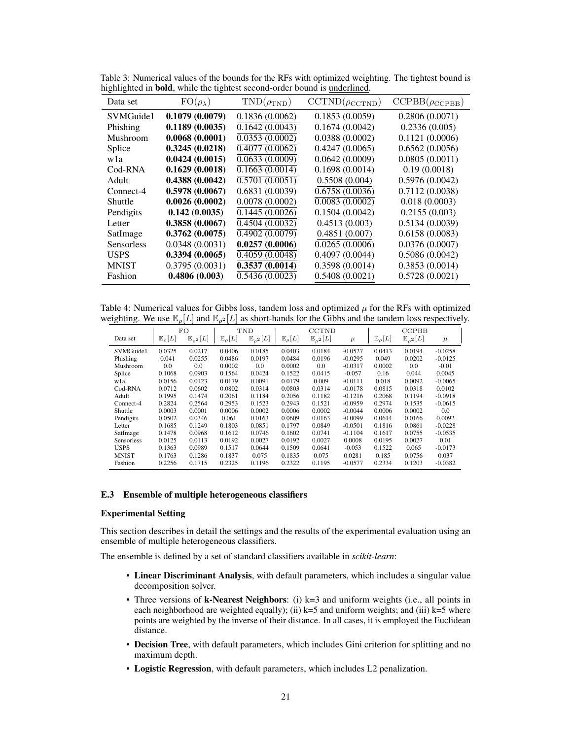| Data set          | $FO(\rho_{\lambda})$ | $TND(\rho_{TND})$            | $CCTND(\rho_{CCTND})$        | $CCPBB(\rho_{CCPBB})$ |
|-------------------|----------------------|------------------------------|------------------------------|-----------------------|
| SVMGuide1         | 0.1079(0.0079)       | 0.1836(0.0062)               | 0.1853(0.0059)               | 0.2806(0.0071)        |
| Phishing          | 0.1189(0.0035)       | 0.1642(0.0043)               | 0.1674(0.0042)               | 0.2336(0.005)         |
| Mushroom          | 0.0068(0.0001)       | 0.0353(0.0002)               | 0.0388(0.0002)               | 0.1121(0.0006)        |
| Splice            | 0.3245(0.0218)       | 0.4077(0.0062)               | 0.4247(0.0065)               | 0.6562(0.0056)        |
| wla               | 0.0424(0.0015)       | 0.0633(0.0009)               | 0.0642(0.0009)               | 0.0805(0.0011)        |
| Cod-RNA           | 0.1629(0.0018)       | $0.1663 \overline{(0.0014)}$ | 0.1698(0.0014)               | 0.19(0.0018)          |
| Adult             | 0.4388(0.0042)       | 0.5701(0.0051)               | 0.5508(0.004)                | 0.5976(0.0042)        |
| Connect-4         | 0.5978(0.0067)       | 0.6831(0.0039)               | 0.6758(0.0036)               | 0.7112(0.0038)        |
| Shuttle           | 0.0026(0.0002)       | 0.0078(0.0002)               | $\overline{0.0083}$ (0.0002) | 0.018(0.0003)         |
| Pendigits         | 0.142(0.0035)        | $\overline{0.1445(0.0026)}$  | 0.1504(0.0042)               | 0.2155(0.003)         |
| Letter            | 0.3858(0.0067)       | 0.4504(0.0032)               | 0.4513(0.003)                | 0.5134(0.0039)        |
| SatImage          | 0.3762(0.0075)       | $\overline{0.4902(0.0079)}$  | 0.4851(0.007)                | 0.6158(0.0083)        |
| <b>Sensorless</b> | 0.0348(0.0031)       | 0.0257(0.0006)               | 0.0265(0.0006)               | 0.0376(0.0007)        |
| <b>USPS</b>       | 0.3394(0.0065)       | 0.4059(0.0048)               | 0.4097(0.0044)               | 0.5086(0.0042)        |
| <b>MNIST</b>      | 0.3795(0.0031)       | 0.3537(0.0014)               | 0.3598(0.0014)               | 0.3853(0.0014)        |
| Fashion           | 0.4806(0.003)        | 0.5436(0.0023)               | 0.5408(0.0021)               | 0.5728(0.0021)        |

<span id="page-8-0"></span>Table 3: Numerical values of the bounds for the RFs with optimized weighting. The tightest bound is highlighted in bold, while the tightest second-order bound is underlined.

<span id="page-8-1"></span>Table 4: Numerical values for Gibbs loss, tandem loss and optimized  $\mu$  for the RFs with optimized weighting. We use  $\mathbb{E}_{\rho}[L]$  and  $\mathbb{E}_{\rho^2}[L]$  as short-hands for the Gibbs and the tandem loss respectively.

|              | FO<br>TND              |                          |                        | <b>CCTND</b>             |                        |                       | <b>CCPBB</b> |                        |                          |           |
|--------------|------------------------|--------------------------|------------------------|--------------------------|------------------------|-----------------------|--------------|------------------------|--------------------------|-----------|
| Data set     | $\mathbb{E}_{\rho}[L]$ | $\mathbb{E}_{\rho^2}[L]$ | $\mathbb{E}_{\rho}[L]$ | $\mathbb{E}_{\rho^2}[L]$ | $\mathbb{E}_{\rho}[L]$ | $\mathbb{E}_{a^2}[L]$ | $\mu$        | $\mathbb{E}_{\rho}[L]$ | $\mathbb{E}_{\rho^2}[L]$ | $\mu$     |
| SVMGuide1    | 0.0325                 | 0.0217                   | 0.0406                 | 0.0185                   | 0.0403                 | 0.0184                | $-0.0527$    | 0.0413                 | 0.0194                   | $-0.0258$ |
| Phishing     | 0.041                  | 0.0255                   | 0.0486                 | 0.0197                   | 0.0484                 | 0.0196                | $-0.0295$    | 0.049                  | 0.0202                   | $-0.0125$ |
| Mushroom     | 0.0                    | 0.0                      | 0.0002                 | 0.0                      | 0.0002                 | 0.0                   | $-0.0317$    | 0.0002                 | 0.0                      | $-0.01$   |
| Splice       | 0.1068                 | 0.0903                   | 0.1564                 | 0.0424                   | 0.1522                 | 0.0415                | $-0.057$     | 0.16                   | 0.044                    | 0.0045    |
| wla          | 0.0156                 | 0.0123                   | 0.0179                 | 0.0091                   | 0.0179                 | 0.009                 | $-0.0111$    | 0.018                  | 0.0092                   | $-0.0065$ |
| Cod-RNA      | 0.0712                 | 0.0602                   | 0.0802                 | 0.0314                   | 0.0803                 | 0.0314                | $-0.0178$    | 0.0815                 | 0.0318                   | 0.0102    |
| Adult        | 0.1995                 | 0.1474                   | 0.2061                 | 0.1184                   | 0.2056                 | 0.1182                | $-0.1216$    | 0.2068                 | 0.1194                   | $-0.0918$ |
| Connect-4    | 0.2824                 | 0.2564                   | 0.2953                 | 0.1523                   | 0.2943                 | 0.1521                | $-0.0959$    | 0.2974                 | 0.1535                   | $-0.0615$ |
| Shuttle      | 0.0003                 | 0.0001                   | 0.0006                 | 0.0002                   | 0.0006                 | 0.0002                | $-0.0044$    | 0.0006                 | 0.0002                   | 0.0       |
| Pendigits    | 0.0502                 | 0.0346                   | 0.061                  | 0.0163                   | 0.0609                 | 0.0163                | $-0.0099$    | 0.0614                 | 0.0166                   | 0.0092    |
| Letter       | 0.1685                 | 0.1249                   | 0.1803                 | 0.0851                   | 0.1797                 | 0.0849                | $-0.0501$    | 0.1816                 | 0.0861                   | $-0.0228$ |
| SatImage     | 0.1478                 | 0.0968                   | 0.1612                 | 0.0746                   | 0.1602                 | 0.0741                | $-0.1104$    | 0.1617                 | 0.0755                   | $-0.0535$ |
| Sensorless   | 0.0125                 | 0.0113                   | 0.0192                 | 0.0027                   | 0.0192                 | 0.0027                | 0.0008       | 0.0195                 | 0.0027                   | 0.01      |
| <b>USPS</b>  | 0.1363                 | 0.0989                   | 0.1517                 | 0.0644                   | 0.1509                 | 0.0641                | $-0.053$     | 0.1522                 | 0.065                    | $-0.0173$ |
| <b>MNIST</b> | 0.1763                 | 0.1286                   | 0.1837                 | 0.075                    | 0.1835                 | 0.075                 | 0.0281       | 0.185                  | 0.0756                   | 0.037     |
| Fashion      | 0.2256                 | 0.1715                   | 0.2325                 | 0.1196                   | 0.2322                 | 0.1195                | $-0.0577$    | 0.2334                 | 0.1203                   | $-0.0382$ |

#### E.3 Ensemble of multiple heterogeneous classifiers

#### Experimental Setting

This section describes in detail the settings and the results of the experimental evaluation using an ensemble of multiple heterogeneous classifiers.

The ensemble is defined by a set of standard classifiers available in *scikit-learn*:

- Linear Discriminant Analysis, with default parameters, which includes a singular value decomposition solver.
- Three versions of **k-Nearest Neighbors**: (i) k=3 and uniform weights (i.e., all points in each neighborhood are weighted equally); (ii)  $k=5$  and uniform weights; and (iii)  $k=5$  where points are weighted by the inverse of their distance. In all cases, it is employed the Euclidean distance.
- Decision Tree, with default parameters, which includes Gini criterion for splitting and no maximum depth.
- Logistic Regression, with default parameters, which includes L2 penalization.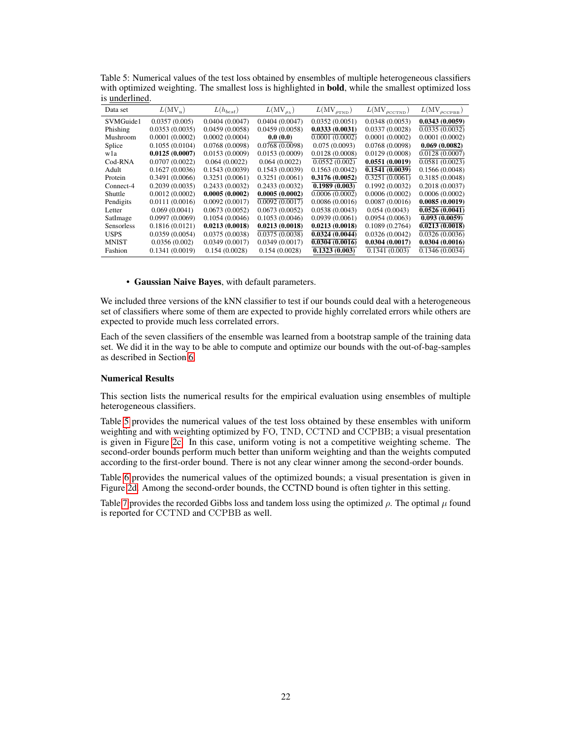| Data set          | $L(MV_u)$      | $L(h_{best})$  | $L(MV_{\rho_{\lambda}})$ | $L(MV_{\rho_{TND}})$ | $L(MV_{\rho_{\text{CCTND}}})$ | $L(MV_{\rho_{\text{CCPBB}}})$ |
|-------------------|----------------|----------------|--------------------------|----------------------|-------------------------------|-------------------------------|
| SVMGuide1         | 0.0357(0.005)  | 0.0404(0.0047) | 0.0404(0.0047)           | 0.0352(0.0051)       | 0.0348(0.0053)                | 0.0343(0.0059)                |
| Phishing          | 0.0353(0.0035) | 0.0459(0.0058) | 0.0459(0.0058)           | 0.0333(0.0031)       | 0.0337(0.0028)                | 0.0335(0.0032)                |
| Mushroom          | 0.0001(0.0002) | 0.0002(0.0004) | 0.0(0.0)                 | 0.0001(0.0002)       | 0.0001(0.0002)                | 0.0001(0.0002)                |
| Splice            | 0.1055(0.0104) | 0.0768(0.0098) | 0.0768(0.0098)           | 0.075(0.0093)        | 0.0768(0.0098)                | 0.069(0.0082)                 |
| wla               | 0.0125(0.0007) | 0.0153(0.0009) | 0.0153(0.0009)           | 0.0128(0.0008)       | 0.0129(0.0008)                | 0.0128(0.0007)                |
| Cod-RNA           | 0.0707(0.0022) | 0.064(0.0022)  | 0.064(0.0022)            | 0.0552(0.002)        | 0.0551(0.0019)                | 0.0581(0.0023)                |
| Adult             | 0.1627(0.0036) | 0.1543(0.0039) | 0.1543(0.0039)           | 0.1563(0.0042)       | 0.1541(0.0039)                | 0.1566(0.0048)                |
| Protein           | 0.3491(0.0066) | 0.3251(0.0061) | 0.3251(0.0061)           | 0.3176(0.0052)       | 0.3251(0.0061)                | 0.3185(0.0048)                |
| Connect-4         | 0.2039(0.0035) | 0.2433(0.0032) | 0.2433(0.0032)           | 0.1989(0.003)        | 0.1992(0.0032)                | 0.2018(0.0037)                |
| Shuttle           | 0.0012(0.0002) | 0.0005(0.0002) | 0.0005(0.0002)           | 0.0006(0.0002)       | 0.0006(0.0002)                | 0.0006(0.0002)                |
| Pendigits         | 0.0111(0.0016) | 0.0092(0.0017) | 0.0092(0.0017)           | 0.0086(0.0016)       | 0.0087(0.0016)                | 0.0085(0.0019)                |
| Letter            | 0.069(0.0041)  | 0.0673(0.0052) | 0.0673(0.0052)           | 0.0538(0.0043)       | 0.054(0.0043)                 | 0.0526(0.0041)                |
| SatImage          | 0.0997(0.0069) | 0.1054(0.0046) | 0.1053(0.0046)           | 0.0939(0.0061)       | 0.0954(0.0063)                | 0.093(0.0059)                 |
| <b>Sensorless</b> | 0.1816(0.0121) | 0.0213(0.0018) | 0.0213(0.0018)           | 0.0213(0.0018)       | 0.1089(0.2764)                | 0.0213(0.0018)                |
| <b>USPS</b>       | 0.0359(0.0054) | 0.0375(0.0038) | 0.0375(0.0038)           | 0.0324(0.0044)       | 0.0326(0.0042)                | 0.0326(0.0036)                |
| <b>MNIST</b>      | 0.0356(0.002)  | 0.0349(0.0017) | 0.0349(0.0017)           | 0.0304(0.0016)       | 0.0304(0.0017)                | 0.0304(0.0016)                |
| Fashion           | 0.1341(0.0019) | 0.154(0.0028)  | 0.154(0.0028)            | 0.1323(0.003)        | 0.1341(0.003)                 | 0.1346(0.0034)                |

<span id="page-9-0"></span>Table 5: Numerical values of the test loss obtained by ensembles of multiple heterogeneous classifiers with optimized weighting. The smallest loss is highlighted in **bold**, while the smallest optimized loss is underlined.

• Gaussian Naive Bayes, with default parameters.

We included three versions of the kNN classifier to test if our bounds could deal with a heterogeneous set of classifiers where some of them are expected to provide highly correlated errors while others are expected to provide much less correlated errors.

Each of the seven classifiers of the ensemble was learned from a bootstrap sample of the training data set. We did it in the way to be able to compute and optimize our bounds with the out-of-bag-samples as described in Section [6.](#page--1-6)

#### Numerical Results

This section lists the numerical results for the empirical evaluation using ensembles of multiple heterogeneous classifiers.

Table [5](#page-9-0) provides the numerical values of the test loss obtained by these ensembles with uniform weighting and with weighting optimized by FO, TND, CCTND and CCPBB; a visual presentation is given in Figure [2c.](#page--1-16) In this case, uniform voting is not a competitive weighting scheme. The second-order bounds perform much better than uniform weighting and than the weights computed according to the first-order bound. There is not any clear winner among the second-order bounds.

Table [6](#page-10-0) provides the numerical values of the optimized bounds; a visual presentation is given in Figure [2d.](#page--1-16) Among the second-order bounds, the CCTND bound is often tighter in this setting.

Table [7](#page-10-1) provides the recorded Gibbs loss and tandem loss using the optimized  $\rho$ . The optimal  $\mu$  found is reported for CCTND and CCPBB as well.